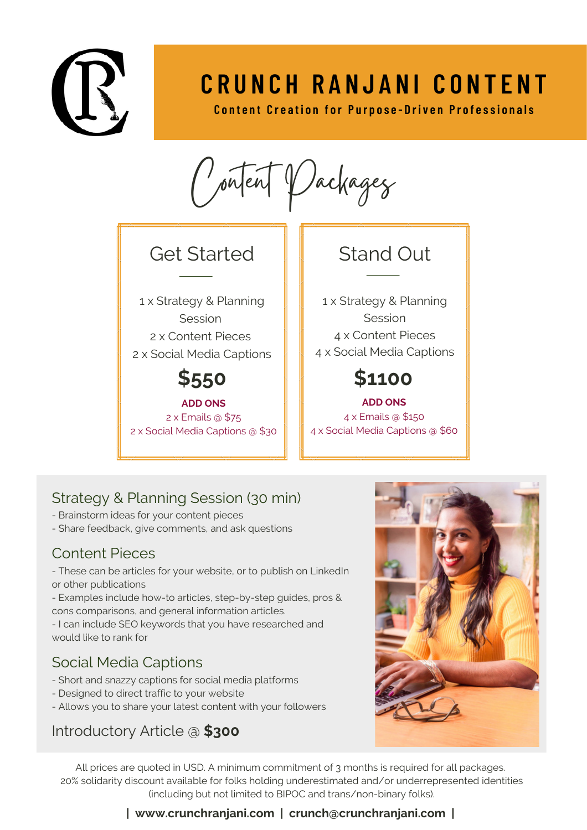

# **C R U N C H R A N J A N I C O N T E N T**

**Content Creation for Purpose-Driven Professionals** 

Vachagez

## Get Started **II** Stand Out

 x Strategy & Planning Session x Content Pieces x Social Media Captions

**ADD ONS** 2 x Emails @ \$75 2 x Social Media Captions @ \$30

 x Strategy & Planning Session x Content Pieces x Social Media Captions

## **\$550 \$1100**

**ADD ONS** 4 x Emails @ \$150 4 x Social Media Captions @ \$60

### Strategy & Planning Session (30 min)

- Brainstorm ideas for your content pieces
- Share feedback, give comments, and ask questions

#### Content Pieces

- These can be articles for your website, or to publish on LinkedIn or other publications

- Examples include how-to articles, step-by-step guides, pros & cons comparisons, and general information articles.

- I can include SEO keywords that you have researched and would like to rank for

### Social Media Captions

- Short and snazzy captions for social media platforms
- Designed to direct traffic to your website
- Allows you to share your latest content with your followers

### Introductory Article @ **\$300**

All prices are quoted in USD. A minimum commitment of 3 months is required for all packages. 20% solidarity discount available for folks holding underestimated and/or underrepresented identities (including but not limited to BIPOC and trans/non-binary folks).

#### **| www.crunchranjani.com | crunch@crunchranjani.com |**

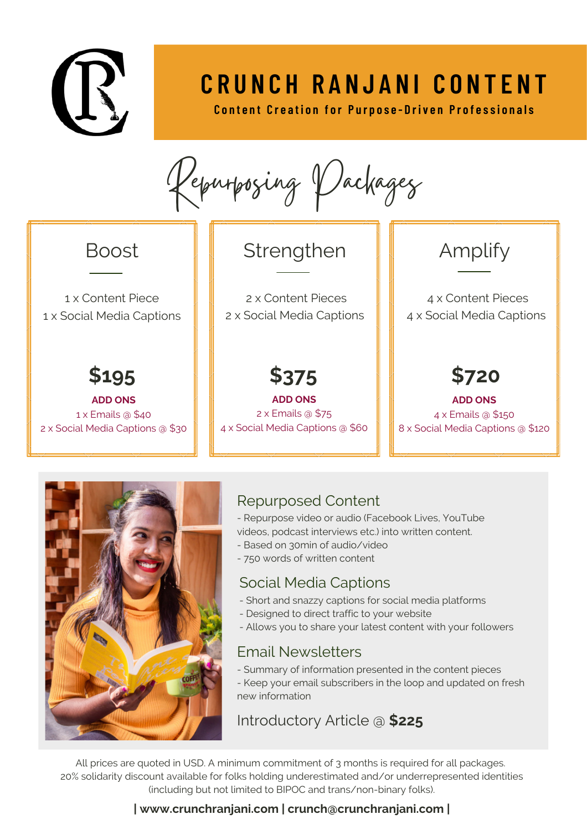

# **C R U N C H R A N J A N I C O N T E N T**

**Content Creation for Purpose-Driven Professionals** 

Repurposing Packages

1 x Content Piece 1 x Social Media Captions

**ADD ONS** 1 x Emails @ \$40 2 x Social Media Captions @ \$30

## Boost  $\|\cdot\|$  Strengthen

2 x Content Pieces 2 x Social Media Captions

**ADD ONS** 2 x Emails @ \$75 4 x Social Media Captions @ \$60

# Amplify

4 x Content Pieces 4 x Social Media Captions

**\$195 \$375 \$720**

**ADD ONS** 4 x Emails @ \$150 8 x Social Media Captions @ \$120



#### Repurposed Content

- Repurpose video or audio (Facebook Lives, YouTube
- videos, podcast interviews etc.) into written content.
- Based on 30min of audio/video
- 750 words of written content

#### Social Media Captions

- Short and snazzy captions for social media platforms
- Designed to direct traffic to your website
- Allows you to share your latest content with your followers

#### Email Newsletters

- Summary of information presented in the content pieces
- Keep your email subscribers in the loop and updated on fresh new information

#### Introductory Article @ **\$225**

All prices are quoted in USD. A minimum commitment of 3 months is required for all packages. 20% solidarity discount available for folks holding underestimated and/or underrepresented identities (including but not limited to BIPOC and trans/non-binary folks).

#### **| www.crunchranjani.com | crunch@crunchranjani.com |**